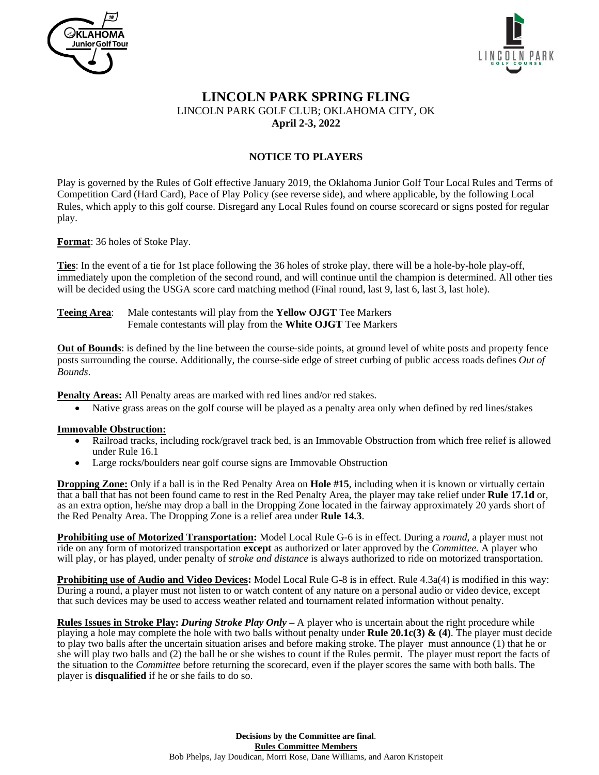



# **LINCOLN PARK SPRING FLING** LINCOLN PARK GOLF CLUB; OKLAHOMA CITY, OK **April 2-3, 2022**

# **NOTICE TO PLAYERS**

Play is governed by the Rules of Golf effective January 2019, the Oklahoma Junior Golf Tour Local Rules and Terms of Competition Card (Hard Card), Pace of Play Policy (see reverse side), and where applicable, by the following Local Rules, which apply to this golf course. Disregard any Local Rules found on course scorecard or signs posted for regular play.

## **Format**: 36 holes of Stoke Play.

**Ties**: In the event of a tie for 1st place following the 36 holes of stroke play, there will be a hole-by-hole play-off, immediately upon the completion of the second round, and will continue until the champion is determined. All other ties will be decided using the USGA score card matching method (Final round, last 9, last 6, last 3, last hole).

# **Teeing Area**: Male contestants will play from the **Yellow OJGT** Tee Markers Female contestants will play from the **White OJGT** Tee Markers

**Out of Bounds**: is defined by the line between the course-side points, at ground level of white posts and property fence posts surrounding the course. Additionally, the course-side edge of street curbing of public access roads defines *Out of Bounds*.

**Penalty Areas:** All Penalty areas are marked with red lines and/or red stakes.

• Native grass areas on the golf course will be played as a penalty area only when defined by red lines/stakes

## **Immovable Obstruction:**

- Railroad tracks, including rock/gravel track bed, is an Immovable Obstruction from which free relief is allowed under Rule 16.1
- Large rocks/boulders near golf course signs are Immovable Obstruction

**Dropping Zone:** Only if a ball is in the Red Penalty Area on **Hole #15**, including when it is known or virtually certain that a ball that has not been found came to rest in the Red Penalty Area, the player may take relief under **Rule 17.1d** or, as an extra option, he/she may drop a ball in the Dropping Zone located in the fairway approximately 20 yards short of the Red Penalty Area. The Dropping Zone is a relief area under **Rule 14.3**.

**Prohibiting use of Motorized Transportation:** Model Local Rule G-6 is in effect. During a *round*, a player must not ride on any form of motorized transportation **except** as authorized or later approved by the *Committee.* A player who will play, or has played, under penalty of *stroke and distance* is always authorized to ride on motorized transportation.

**Prohibiting use of Audio and Video Devices:** Model Local Rule G-8 is in effect. Rule 4.3a(4) is modified in this way: During a round, a player must not listen to or watch content of any nature on a personal audio or video device, except that such devices may be used to access weather related and tournament related information without penalty.

**Rules Issues in Stroke Play:** *During Stroke Play Only –* **A player who is uncertain about the right procedure while** playing a hole may complete the hole with two balls without penalty under **Rule 20.1c(3) & (4)**. The player must decide to play two balls after the uncertain situation arises and before making stroke. The player must announce (1) that he or she will play two balls and (2) the ball he or she wishes to count if the Rules permit. The player must report the facts of the situation to the *Committee* before returning the scorecard, even if the player scores the same with both balls. The player is **disqualified** if he or she fails to do so.